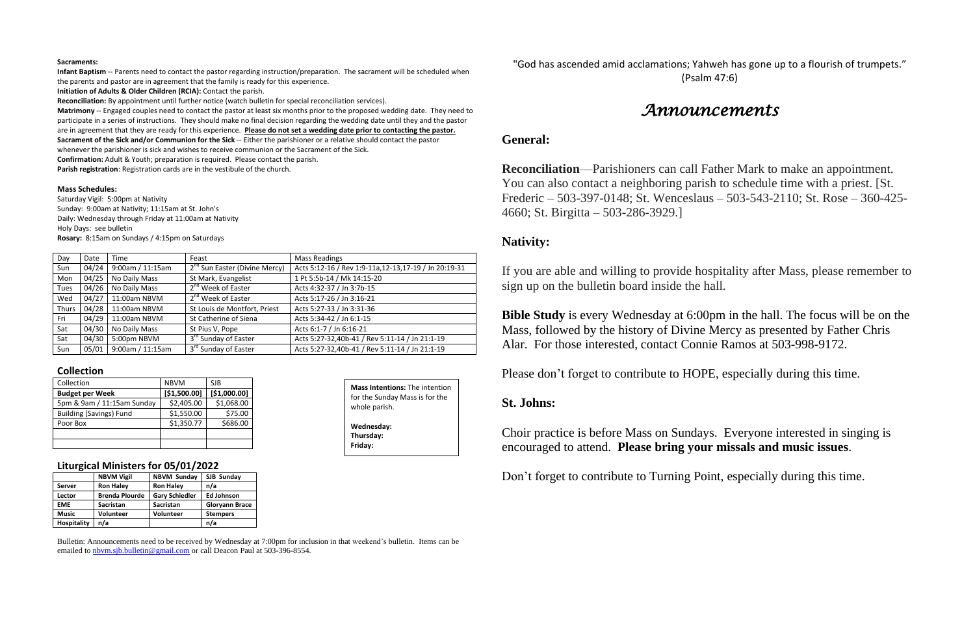### **Sacraments:**

**Infant Baptism** -- Parents need to contact the pastor regarding instruction/preparation. The sacrament will be scheduled when the parents and pastor are in agreement that the family is ready for this experience.

**Initiation of Adults & Older Children (RCIA):** Contact the parish.

**Reconciliation:** By appointment until further notice (watch bulletin for special reconciliation services).

**Matrimony** -- Engaged couples need to contact the pastor at least six months prior to the proposed wedding date. They need to participate in a series of instructions. They should make no final decision regarding the wedding date until they and the pastor are in agreement that they are ready for this experience. **Please do not set a wedding date prior to contacting the pastor. Sacrament of the Sick and/or Communion for the Sick** -- Either the parishioner or a relative should contact the pastor

whenever the parishioner is sick and wishes to receive communion or the Sacrament of the Sick.

**Confirmation:** Adult & Youth; preparation is required. Please contact the parish.

**Parish registration**: Registration cards are in the vestibule of the church.

### **Mass Schedules:**

Saturday Vigil: 5:00pm at Nativity Sunday: 9:00am at Nativity; 11:15am at St. John's Daily: Wednesday through Friday at 11:00am at Nativity Holy Days: see bulletin **Rosary:** 8:15am on Sundays / 4:15pm on Saturdays

| Day          | Date  | Time             | Feast                           | <b>Mass Readings</b>                                   |
|--------------|-------|------------------|---------------------------------|--------------------------------------------------------|
| Sun          | 04/24 | 9:00am / 11:15am | $2nd$ Sun Easter (Divine Mercy) | Acts 5:12-16 / Rev 1:9-11a, 12-13, 17-19 / Jn 20:19-31 |
| Mon          | 04/25 | No Daily Mass    | St Mark, Evangelist             | 1 Pt 5:5b-14 / Mk 14:15-20                             |
| <b>Tues</b>  | 04/26 | No Daily Mass    | 2 <sup>nd</sup> Week of Easter  | Acts 4:32-37 / Jn 3:7b-15                              |
| Wed          | 04/27 | 11:00am NBVM     | 2 <sup>nd</sup> Week of Easter  | Acts 5:17-26 / Jn 3:16-21                              |
| <b>Thurs</b> | 04/28 | 11:00am NBVM     | St Louis de Montfort, Priest    | Acts 5:27-33 / Jn 3:31-36                              |
| Fri          | 04/29 | 11:00am NBVM     | St Catherine of Siena           | Acts 5:34-42 / Jn 6:1-15                               |
| Sat          | 04/30 | No Daily Mass    | St Pius V, Pope                 | Acts 6:1-7 / Jn 6:16-21                                |
| Sat          | 04/30 | 5:00pm NBVM      | 3rd Sunday of Easter            | Acts 5:27-32,40b-41 / Rev 5:11-14 / Jn 21:1-19         |
| <b>Sun</b>   | 05/01 | 9:00am / 11:15am | 3rd Sunday of Easter            | Acts 5:27-32,40b-41 / Rev 5:11-14 / Jn 21:1-19         |

### **Collection**

| Collection                     | <b>NBVM</b>  | <b>SJB</b>   |
|--------------------------------|--------------|--------------|
| <b>Budget per Week</b>         | [\$1,500.00] | [\$1,000.00] |
| 5pm & 9am / 11:15am Sunday     | \$2,405.00   | \$1,068.00   |
| <b>Building (Savings) Fund</b> | \$1,550.00   | \$75.00      |
| Poor Box                       | \$1,350.77   | \$686.00     |
|                                |              |              |
|                                |              |              |

### **Liturgical Ministers for 05/01/2022**

|                    | <b>NBVM Vigil</b>     | <b>NBVM Sunday</b>    | SJB Sunday            |
|--------------------|-----------------------|-----------------------|-----------------------|
| <b>Server</b>      | <b>Ron Haley</b>      | <b>Ron Haley</b>      | n/a                   |
| Lector             | <b>Brenda Plourde</b> | <b>Gary Schiedler</b> | <b>Ed Johnson</b>     |
| <b>EME</b>         | <b>Sacristan</b>      | <b>Sacristan</b>      | <b>Gloryann Brace</b> |
| <b>Music</b>       | <b>Volunteer</b>      | <b>Volunteer</b>      | <b>Stempers</b>       |
| <b>Hospitality</b> | n/a                   |                       | n/a                   |

Bulletin: Announcements need to be received by Wednesday at 7:00pm for inclusion in that weekend's bulletin. Items can be emailed to [nbvm.sjb.bulletin@gmail.com](mailto:nbvm.sjb.bulletin@gmail.com) or call Deacon Paul at 503-396-8554.

"God has ascended amid acclamations; Yahweh has gone up to a flourish of trumpets." (Psalm 47:6)

# *Announcements*

## **General:**

**Reconciliation**—Parishioners can call Father Mark to make an appointment. You can also contact a neighboring parish to schedule time with a priest. [St. Frederic – 503-397-0148; St. Wenceslaus – 503-543-2110; St. Rose – 360-425- 4660; St. Birgitta – 503-286-3929.]

## **Nativity:**

If you are able and willing to provide hospitality after Mass, please remember to sign up on the bulletin board inside the hall.

**Bible Study** is every Wednesday at 6:00pm in the hall. The focus will be on the Mass, followed by the history of Divine Mercy as presented by Father Chris Alar. For those interested, contact Connie Ramos at 503-998-9172.

Please don't forget to contribute to HOPE, especially during this time.

**St. Johns:**

Choir practice is before Mass on Sundays. Everyone interested in singing is encouraged to attend. **Please bring your missals and music issues**.

Don't forget to contribute to Turning Point, especially during this time.

**Mass Intentions:** The intention for the Sunday Mass is for the whole parish. **Wednesday: Thursday: Friday:**